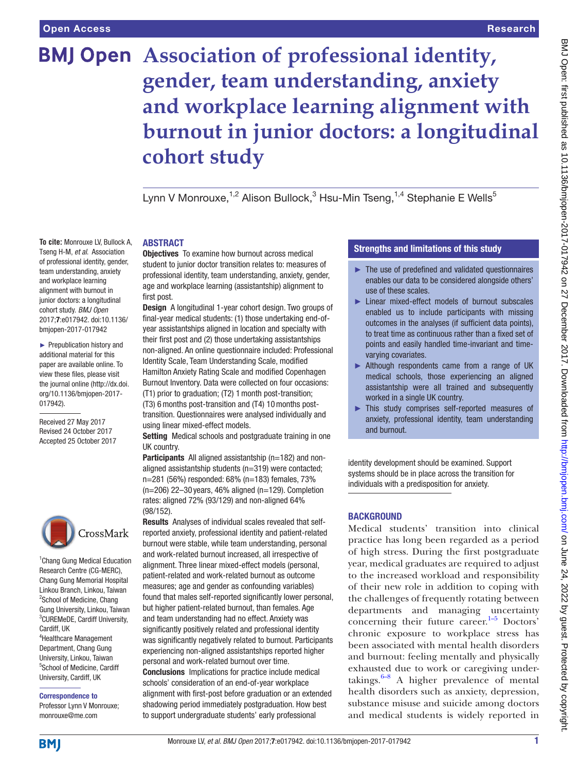**To cite:** Monrouxe LV, Bullock A, Tseng H-M, *et al*. Association of professional identity, gender, team understanding, anxiety and workplace learning alignment with burnout in junior doctors: a longitudinal cohort study. *BMJ Open* 2017;7:e017942. doi:10.1136/ bmjopen-2017-017942 ► Prepublication history and additional material for this paper are available online. To view these files, please visit the journal online [\(http://dx.doi.](http://dx.doi.org/10.1136/bmjopen-2017-017942) [org/10.1136/bmjopen-2017-](http://dx.doi.org/10.1136/bmjopen-2017-017942)

# **BMJ Open** Association of professional identity, **gender, team understanding, anxiety and workplace learning alignment with burnout in junior doctors: a longitudinal cohort study**

Lynn V Monrouxe,<sup>1,2</sup> Alison Bullock,<sup>3</sup> Hsu-Min Tseng,<sup>1,4</sup> Stephanie E Wells<sup>5</sup>

#### **ABSTRACT**

**Objectives** To examine how burnout across medical student to junior doctor transition relates to: measures of professional identity, team understanding, anxiety, gender, age and workplace learning (assistantship) alignment to first post.

Design A longitudinal 1-year cohort design. Two groups of final-year medical students: (1) those undertaking end-ofyear assistantships aligned in location and specialty with their first post and (2) those undertaking assistantships non-aligned. An online questionnaire included: Professional Identity Scale, Team Understanding Scale, modified Hamilton Anxiety Rating Scale and modified Copenhagen Burnout Inventory. Data were collected on four occasions: (T1) prior to graduation; (T2) 1month post-transition; (T3) 6months post-transition and (T4) 10months post-

transition. Questionnaires were analysed individually and using linear mixed-effect models.

Setting Medical schools and postgraduate training in one UK country.

Participants All aligned assistantship (n=182) and nonaligned assistantship students (n=319) were contacted; n=281 (56%) responded: 68% (n=183) females, 73%  $(n=206)$  22–30 years, 46% aligned  $(n=129)$ . Completion rates: aligned 72% (93/129) and non-aligned 64% (98/152).

Results Analyses of individual scales revealed that selfreported anxiety, professional identity and patient-related burnout were stable, while team understanding, personal and work-related burnout increased, all irrespective of alignment. Three linear mixed-effect models (personal, patient-related and work-related burnout as outcome measures; age and gender as confounding variables) found that males self-reported significantly lower personal, but higher patient-related burnout, than females. Age and team understanding had no effect. Anxiety was significantly positively related and professional identity was significantly negatively related to burnout. Participants experiencing non-aligned assistantships reported higher personal and work-related burnout over time. Conclusions Implications for practice include medical schools' consideration of an end-of-year workplace alignment with first-post before graduation or an extended shadowing period immediately postgraduation. How best to support undergraduate students' early professional

# Strengths and limitations of this study

- ► The use of predefined and validated questionnaires enables our data to be considered alongside others' use of these scales.
- ► Linear mixed-effect models of burnout subscales enabled us to include participants with missing outcomes in the analyses (if sufficient data points), to treat time as continuous rather than a fixed set of points and easily handled time-invariant and timevarying covariates.
- ► Although respondents came from a range of UK medical schools, those experiencing an aligned assistantship were all trained and subsequently worked in a single UK country.
- ► This study comprises self-reported measures of anxiety, professional identity, team understanding and burnout.

identity development should be examined. Support systems should be in place across the transition for individuals with a predisposition for anxiety.

# **BACKGROUND**

Medical students' transition into clinical practice has long been regarded as a period of high stress. During the first postgraduate year, medical graduates are required to adjust to the increased workload and responsibility of their new role in addition to coping with the challenges of frequently rotating between departments and managing uncertainty concerning their future career. $1-5$  Doctors' chronic exposure to workplace stress has been associated with mental health disorders and burnout: feeling mentally and physically exhausted due to work or caregiving undertakings. $6-8$  A higher prevalence of mental health disorders such as anxiety, depression, substance misuse and suicide among doctors and medical students is widely reported in

CrossMark

[017942\)](http://dx.doi.org/10.1136/bmjopen-2017-017942).

Received 27 May 2017 Revised 24 October 2017 Accepted 25 October 2017

<sup>1</sup> Chang Gung Medical Education Research Centre (CG-MERC), Chang Gung Memorial Hospital Linkou Branch, Linkou, Taiwan <sup>2</sup>School of Medicine, Chang Gung University, Linkou, Taiwan 3 CUREMeDE, Cardiff University, Cardiff, UK 4 Healthcare Management Department, Chang Gung University, Linkou, Taiwan

5 School of Medicine, Cardiff University, Cardiff, UK Correspondence to

Professor Lynn V Monrouxe; monrouxe@me.com

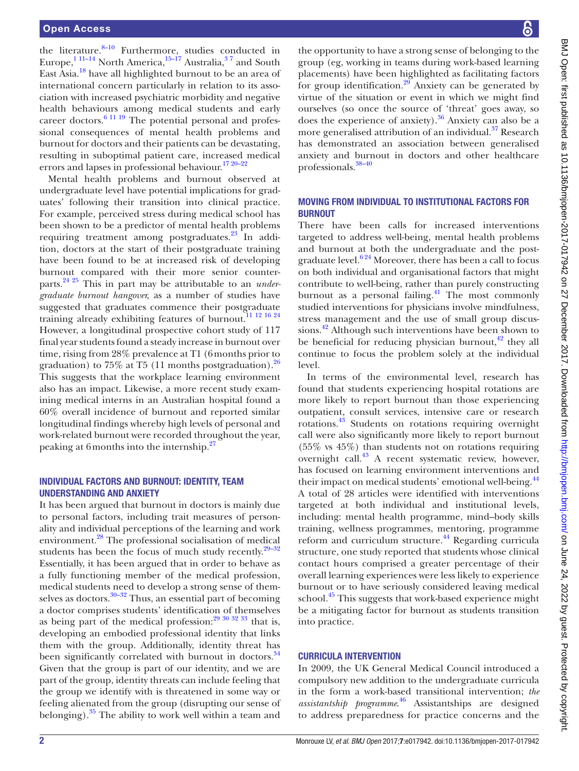the literature.<sup>8–10</sup> Furthermore, studies conducted in Europe, $^{1}$ <sup>11–14</sup> North America, $^{15-17}$  Australia, $^{37}$  and South East Asia[.18](#page-10-1) have all highlighted burnout to be an area of international concern particularly in relation to its association with increased psychiatric morbidity and negative health behaviours among medical students and early career doctors.<sup>6 11 19</sup> The potential personal and professional consequences of mental health problems and burnout for doctors and their patients can be devastating, resulting in suboptimal patient care, increased medical errors and lapses in professional behaviour.<sup>[17 20–22](#page-10-2)</sup>

Mental health problems and burnout observed at undergraduate level have potential implications for graduates' following their transition into clinical practice. For example, perceived stress during medical school has been shown to be a predictor of mental health problems requiring treatment among postgraduates.<sup>23</sup> In addition, doctors at the start of their postgraduate training have been found to be at increased risk of developing burnout compared with their more senior counterparts.[24 25](#page-10-4) This in part may be attributable to an *undergraduate burnout hangover,* as a number of studies have suggested that graduates commence their postgraduate training already exhibiting features of burnout.[11 12 16 24](#page-9-4) However, a longitudinal prospective cohort study of 117 final year students found a steady increase in burnout over time, rising from 28% prevalence at T1 (6months prior to graduation) to 75% at T5 (11 months postgraduation). $^{26}$ This suggests that the workplace learning environment also has an impact. Likewise, a more recent study examining medical interns in an Australian hospital found a 60% overall incidence of burnout and reported similar longitudinal findings whereby high levels of personal and work-related burnout were recorded throughout the year, peaking at 6months into the internship[.27](#page-10-6)

# Individual factors and burnout: identity, team understanding and anxiety

It has been argued that burnout in doctors is mainly due to personal factors, including trait measures of personality and individual perceptions of the learning and work environment[.28](#page-10-7) The professional socialisation of medical students has been the focus of much study recently. $29-32$ Essentially, it has been argued that in order to behave as a fully functioning member of the medical profession, medical students need to develop a strong sense of them-selves as doctors.<sup>[30–32](#page-10-9)</sup> Thus, an essential part of becoming a doctor comprises students' identification of themselves as being part of the medical profession: $29\frac{30\frac{32\frac{33}{32}}{33}}{100\frac{32\frac{33}{32}}{33}}$ developing an embodied professional identity that links them with the group. Additionally, identity threat has been significantly correlated with burnout in doctors.<sup>34</sup> Given that the group is part of our identity, and we are part of the group, identity threats can include feeling that the group we identify with is threatened in some way or feeling alienated from the group (disrupting our sense of belonging). $35$  The ability to work well within a team and

the opportunity to have a strong sense of belonging to the group (eg, working in teams during work-based learning placements) have been highlighted as facilitating factors for group identification. $29$  Anxiety can be generated by virtue of the situation or event in which we might find ourselves (so once the source of 'threat' goes away, so does the experience of anxiety). $36$  Anxiety can also be a more generalised attribution of an individual.<sup>37</sup> Research has demonstrated an association between generalised anxiety and burnout in doctors and other healthcare professionals.[38–40](#page-10-14)

# Moving from individual to institutional factors for **BURNOUT**

There have been calls for increased interventions targeted to address well-being, mental health problems and burnout at both the undergraduate and the postgraduate level. $6^{24}$  Moreover, there has been a call to focus on both individual and organisational factors that might contribute to well-being, rather than purely constructing burnout as a personal failing.<sup>41</sup> The most commonly studied interventions for physicians involve mindfulness, stress management and the use of small group discussions.<sup>42</sup> Although such interventions have been shown to be beneficial for reducing physician burnout, $42$  they all continue to focus the problem solely at the individual level.

In terms of the environmental level, research has found that students experiencing hospital rotations are more likely to report burnout than those experiencing outpatient, consult services, intensive care or research rotations.[43](#page-10-17) Students on rotations requiring overnight call were also significantly more likely to report burnout  $(55\% \text{ vs } 45\%)$  than students not on rotations requiring overnight call.<sup>[43](#page-10-17)</sup> A recent systematic review, however, has focused on learning environment interventions and their impact on medical students' emotional well-being.<sup>[44](#page-10-18)</sup> A total of 28 articles were identified with interventions targeted at both individual and institutional levels, including: mental health programme, mind–body skills training, wellness programmes, mentoring, programme reform and curriculum structure.<sup>44</sup> Regarding curricula structure, one study reported that students whose clinical contact hours comprised a greater percentage of their overall learning experiences were less likely to experience burnout or to have seriously considered leaving medical school.<sup>45</sup> This suggests that work-based experience might be a mitigating factor for burnout as students transition into practice.

#### Curricula intervention

In 2009, the UK General Medical Council introduced a compulsory new addition to the undergraduate curricula in the form a work-based transitional intervention; *the assistantship programme*. [46](#page-10-20) Assistantships are designed to address preparedness for practice concerns and the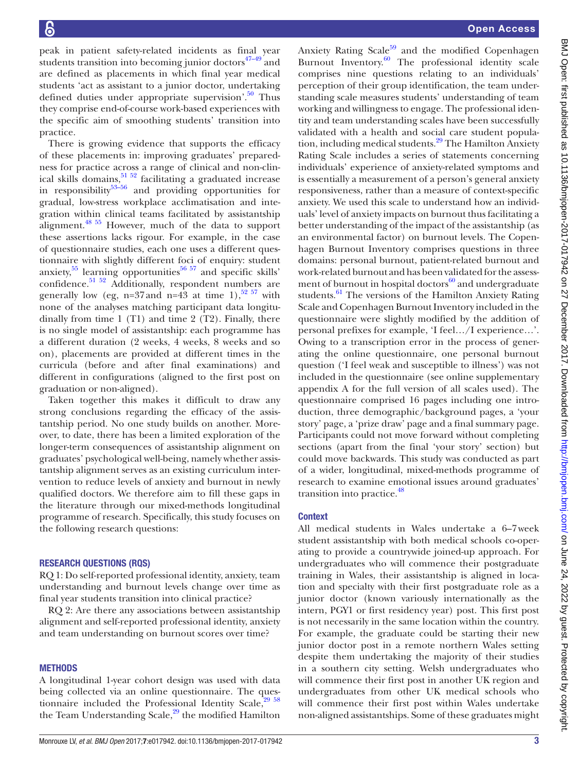peak in patient safety-related incidents as final year students transition into becoming junior doctors $47-49$  and are defined as placements in which final year medical students 'act as assistant to a junior doctor, undertaking defined duties under appropriate supervision'.<sup>50</sup> Thus they comprise end-of-course work-based experiences with the specific aim of smoothing students' transition into practice.

There is growing evidence that supports the efficacy of these placements in: improving graduates' preparedness for practice across a range of clinical and non-clinical skills domains,  $51\frac{52}{2}$  facilitating a graduated increase in responsibility $53-56$  and providing opportunities for gradual, low-stress workplace acclimatisation and integration within clinical teams facilitated by assistantship alignment[.48 55](#page-10-25) However, much of the data to support these assertions lacks rigour. For example, in the case of questionnaire studies, each one uses a different questionnaire with slightly different foci of enquiry: student anxiety,  $55$  learning opportunities  $56 57$  and specific skills' anxiety, rearring opportunities and specific states confidence.<sup>[51 52](#page-10-23)</sup> Additionally, respondent numbers are generally low (eg, n=37 and n=43 at time 1),<sup>[52 57](#page-10-28)</sup> with none of the analyses matching participant data longitudinally from time 1 (T1) and time 2 (T2). Finally, there is no single model of assistantship: each programme has a different duration (2 weeks, 4 weeks, 8 weeks and so on), placements are provided at different times in the curricula (before and after final examinations) and different in configurations (aligned to the first post on graduation or non-aligned).

Taken together this makes it difficult to draw any strong conclusions regarding the efficacy of the assistantship period. No one study builds on another. Moreover, to date, there has been a limited exploration of the longer-term consequences of assistantship alignment on graduates' psychological well-being, namely whether assistantship alignment serves as an existing curriculum intervention to reduce levels of anxiety and burnout in newly qualified doctors. We therefore aim to fill these gaps in the literature through our mixed-methods longitudinal programme of research. Specifically, this study focuses on the following research questions:

#### Research questions (RQs)

RQ 1: Do self-reported professional identity, anxiety, team understanding and burnout levels change over time as final year students transition into clinical practice?

RQ 2: Are there any associations between assistantship alignment and self-reported professional identity, anxiety and team understanding on burnout scores over time?

#### **METHODS**

A longitudinal 1-year cohort design was used with data being collected via an online questionnaire. The questionnaire included the Professional Identity Scale, $29\frac{58}{6}$ the Team Understanding Scale,<sup>29</sup> the modified Hamilton

Anxiety Rating Scale $59$  and the modified Copenhagen Burnout Inventory. $\frac{60}{n}$  The professional identity scale comprises nine questions relating to an individuals' perception of their group identification, the team understanding scale measures students' understanding of team working and willingness to engage. The professional identity and team understanding scales have been successfully validated with a health and social care student population, including medical students.<sup>29</sup> The Hamilton Anxiety Rating Scale includes a series of statements concerning individuals' experience of anxiety-related symptoms and is essentially a measurement of a person's general anxiety responsiveness, rather than a measure of context-specific anxiety. We used this scale to understand how an individuals' level of anxiety impacts on burnout thus facilitating a better understanding of the impact of the assistantship (as an environmental factor) on burnout levels. The Copenhagen Burnout Inventory comprises questions in three domains: personal burnout, patient-related burnout and work-related burnout and has been validated for the assessment of burnout in hospital doctors $^{60}$  $^{60}$  $^{60}$  and undergraduate students.<sup>61</sup> The versions of the Hamilton Anxiety Rating Scale and Copenhagen Burnout Inventory included in the questionnaire were slightly modified by the addition of personal prefixes for example, 'I feel…/I experience…'. Owing to a transcription error in the process of generating the online questionnaire, one personal burnout question ('I feel weak and susceptible to illness') was not included in the questionnaire (see online [supplementary](https://dx.doi.org/10.1136/bmjopen-2017-017942)  [appendix A](https://dx.doi.org/10.1136/bmjopen-2017-017942) for the full version of all scales used). The questionnaire comprised 16 pages including one introduction, three demographic/background pages, a 'your story' page, a 'prize draw' page and a final summary page. Participants could not move forward without completing sections (apart from the final 'your story' section) but could move backwards. This study was conducted as part of a wider, longitudinal, mixed-methods programme of research to examine emotional issues around graduates' transition into practice.<sup>48</sup>

# **Context**

All medical students in Wales undertake a 6–7week student assistantship with both medical schools co-operating to provide a countrywide joined-up approach. For undergraduates who will commence their postgraduate training in Wales, their assistantship is aligned in location and specialty with their first postgraduate role as a junior doctor (known variously internationally as the intern, PGY1 or first residency year) post. This first post is not necessarily in the same location within the country. For example, the graduate could be starting their new junior doctor post in a remote northern Wales setting despite them undertaking the majority of their studies in a southern city setting. Welsh undergraduates who will commence their first post in another UK region and undergraduates from other UK medical schools who will commence their first post within Wales undertake non-aligned assistantships. Some of these graduates might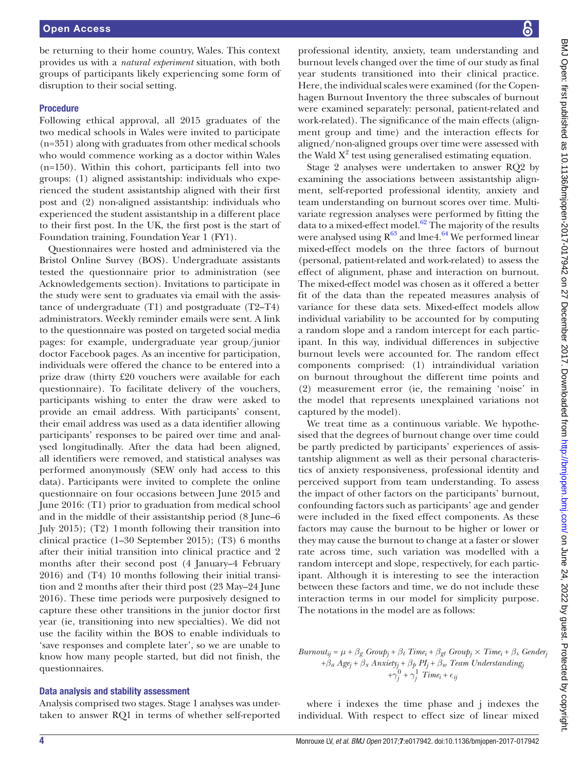be returning to their home country, Wales. This context provides us with a *natural experiment* situation, with both groups of participants likely experiencing some form of disruption to their social setting.

#### Procedure

Following ethical approval, all 2015 graduates of the two medical schools in Wales were invited to participate (n=351) along with graduates from other medical schools who would commence working as a doctor within Wales (n=150). Within this cohort, participants fell into two groups: (1) aligned assistantship: individuals who experienced the student assistantship aligned with their first post and (2) non-aligned assistantship: individuals who experienced the student assistantship in a different place to their first post. In the UK, the first post is the start of Foundation training, Foundation Year 1 (FY1).

Questionnaires were hosted and administered via the Bristol Online Survey (BOS). Undergraduate assistants tested the questionnaire prior to administration (see Acknowledgements section). Invitations to participate in the study were sent to graduates via email with the assistance of undergraduate (T1) and postgraduate (T2–T4) administrators. Weekly reminder emails were sent. A link to the questionnaire was posted on targeted social media pages: for example, undergraduate year group/junior doctor Facebook pages. As an incentive for participation, individuals were offered the chance to be entered into a prize draw (thirty £20 vouchers were available for each questionnaire). To facilitate delivery of the vouchers, participants wishing to enter the draw were asked to provide an email address. With participants' consent, their email address was used as a data identifier allowing participants' responses to be paired over time and analysed longitudinally. After the data had been aligned, all identifiers were removed, and statistical analyses was performed anonymously (SEW only had access to this data). Participants were invited to complete the online questionnaire on four occasions between June 2015 and June 2016: (T1) prior to graduation from medical school and in the middle of their assistantship period (8 June–6 July 2015); (T2) 1month following their transition into clinical practice (1–30 September 2015); (T3) 6 months after their initial transition into clinical practice and 2 months after their second post (4 January–4 February 2016) and (T4) 10 months following their initial transition and 2 months after their third post (23 May–24 June 2016). These time periods were purposively designed to capture these other transitions in the junior doctor first year (ie, transitioning into new specialties). We did not use the facility within the BOS to enable individuals to 'save responses and complete later', so we are unable to know how many people started, but did not finish, the questionnaires.

#### Data analysis and stability assessment

Analysis comprised two stages. Stage 1 analyses was undertaken to answer RQ1 in terms of whether self-reported

professional identity, anxiety, team understanding and burnout levels changed over the time of our study as final year students transitioned into their clinical practice. Here, the individual scales were examined (for the Copenhagen Burnout Inventory the three subscales of burnout were examined separately: personal, patient-related and work-related). The significance of the main effects (alignment group and time) and the interaction effects for aligned/non-aligned groups over time were assessed with the Wald  $X^2$  test using generalised estimating equation.

Stage 2 analyses were undertaken to answer RQ2 by examining the associations between assistantship alignment, self-reported professional identity, anxiety and team understanding on burnout scores over time. Multivariate regression analyses were performed by fitting the data to a mixed-effect model. $62$  The majority of the results were analysed using  $R^{63}$  and lme4.<sup>64</sup> We performed linear mixed-effect models on the three factors of burnout (personal, patient-related and work-related) to assess the effect of alignment, phase and interaction on burnout. The mixed-effect model was chosen as it offered a better fit of the data than the repeated measures analysis of variance for these data sets. Mixed-effect models allow individual variability to be accounted for by computing a random slope and a random intercept for each participant. In this way, individual differences in subjective burnout levels were accounted for. The random effect components comprised: (1) intraindividual variation on burnout throughout the different time points and (2) measurement error (ie, the remaining 'noise' in the model that represents unexplained variations not captured by the model).

We treat time as a continuous variable. We hypothesised that the degrees of burnout change over time could be partly predicted by participants' experiences of assistantship alignment as well as their personal characteristics of anxiety responsiveness, professional identity and perceived support from team understanding. To assess the impact of other factors on the participants' burnout, confounding factors such as participants' age and gender were included in the fixed effect components. As these factors may cause the burnout to be higher or lower or they may cause the burnout to change at a faster or slower rate across time, such variation was modelled with a random intercept and slope, respectively, for each participant. Although it is interesting to see the interaction between these factors and time, we do not include these interaction terms in our model for simplicity purpose. The notations in the model are as follows:

# $Burnout_{ij} = \mu + \beta_g \text{Group}_j + \beta_t \text{Time}_i + \beta_{gt} \text{Group}_j \times \text{Time}_i + \beta_s \text{Gender}_j$ +*β<sup>a</sup> Agej* + *β<sup>x</sup> Anxietyj* + *β<sup>p</sup> PIj* + *β<sup>w</sup> Team Understandingj*  $+\gamma_j^0 + \gamma_j^1$  *Time<sub>i</sub>* +  $\epsilon_j$

where i indexes the time phase and j indexes the individual. With respect to effect size of linear mixed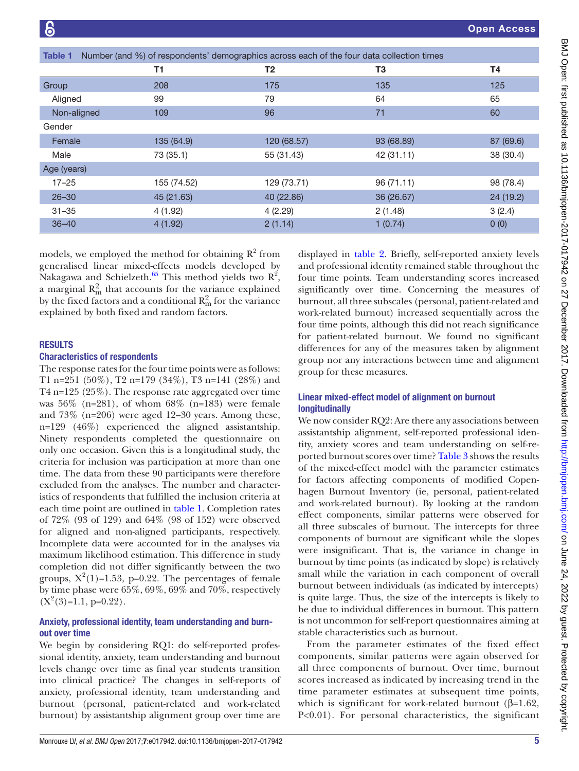Open Access

<span id="page-4-0"></span>

| Table 1     | Number (and %) of respondents' demographics across each of the four data collection times |                |            |           |  |  |
|-------------|-------------------------------------------------------------------------------------------|----------------|------------|-----------|--|--|
|             | T1                                                                                        | T <sub>2</sub> | T3         | Τ4        |  |  |
| Group       | 208                                                                                       | 175            | 135        | 125       |  |  |
| Aligned     | 99                                                                                        | 79             | 64         | 65        |  |  |
| Non-aligned | 109                                                                                       | 96             | 71         | 60        |  |  |
| Gender      |                                                                                           |                |            |           |  |  |
| Female      | 135 (64.9)                                                                                | 120 (68.57)    | 93 (68.89) | 87 (69.6) |  |  |
| Male        | 73 (35.1)                                                                                 | 55 (31.43)     | 42 (31.11) | 38 (30.4) |  |  |
| Age (years) |                                                                                           |                |            |           |  |  |
| $17 - 25$   | 155 (74.52)                                                                               | 129 (73.71)    | 96 (71.11) | 98 (78.4) |  |  |
| $26 - 30$   | 45 (21.63)                                                                                | 40 (22.86)     | 36 (26.67) | 24 (19.2) |  |  |
| $31 - 35$   | 4(1.92)                                                                                   | 4(2.29)        | 2(1.48)    | 3(2.4)    |  |  |
| $36 - 40$   | 4(1.92)                                                                                   | 2(1.14)        | 1(0.74)    | 0(0)      |  |  |

models, we employed the method for obtaining  $R^2$  from generalised linear mixed-effects models developed by Nakagawa and Schielzeth. $^{65}$  $^{65}$  $^{65}$  This method yields two  $R^2$ , a marginal  $R_{\rm m}^2$  that accounts for the variance explained by the fixed factors and a conditional  $R_{\rm m}^2$  for the variance explained by both fixed and random factors.

#### **RESULTS**

#### Characteristics of respondents

The response rates for the four time points were as follows: T1 n=251 (50%), T2 n=179 (34%), T3 n=141 (28%) and T4 n=125 (25%). The response rate aggregated over time was  $56\%$  (n=281), of whom  $68\%$  (n=183) were female and 73% (n=206) were aged 12–30 years. Among these, n=129 (46%) experienced the aligned assistantship. Ninety respondents completed the questionnaire on only one occasion. Given this is a longitudinal study, the criteria for inclusion was participation at more than one time. The data from these 90 participants were therefore excluded from the analyses. The number and characteristics of respondents that fulfilled the inclusion criteria at each time point are outlined in [table](#page-4-0) 1. Completion rates of 72% (93 of 129) and 64% (98 of 152) were observed for aligned and non-aligned participants, respectively. Incomplete data were accounted for in the analyses via maximum likelihood estimation. This difference in study completion did not differ significantly between the two groups,  $X^2(1)=1.53$ , p=0.22. The percentages of female by time phase were 65%, 69%, 69% and 70%, respectively  $(X^2(3)=1.1, p=0.22)$ .

# Anxiety, professional identity, team understanding and burnout over time

We begin by considering RQ1: do self-reported professional identity, anxiety, team understanding and burnout levels change over time as final year students transition into clinical practice? The changes in self-reports of anxiety, professional identity, team understanding and burnout (personal, patient-related and work-related burnout) by assistantship alignment group over time are

displayed in [table](#page-5-0) 2. Briefly, self-reported anxiety levels and professional identity remained stable throughout the four time points. Team understanding scores increased significantly over time. Concerning the measures of burnout, all three subscales (personal, patient-related and work-related burnout) increased sequentially across the four time points, although this did not reach significance for patient-related burnout. We found no significant differences for any of the measures taken by alignment group nor any interactions between time and alignment group for these measures.

# Linear mixed-effect model of alignment on burnout longitudinally

We now consider RQ2: Are there any associations between assistantship alignment, self-reported professional identity, anxiety scores and team understanding on self-reported burnout scores over time? [Table](#page-6-0) 3 shows the results of the mixed-effect model with the parameter estimates for factors affecting components of modified Copenhagen Burnout Inventory (ie, personal, patient-related and work-related burnout). By looking at the random effect components, similar patterns were observed for all three subscales of burnout. The intercepts for three components of burnout are significant while the slopes were insignificant. That is, the variance in change in burnout by time points (as indicated by slope) is relatively small while the variation in each component of overall burnout between individuals (as indicated by intercepts) is quite large. Thus, the size of the intercepts is likely to be due to individual differences in burnout. This pattern is not uncommon for self-report questionnaires aiming at stable characteristics such as burnout.

From the parameter estimates of the fixed effect components, similar patterns were again observed for all three components of burnout. Over time, burnout scores increased as indicated by increasing trend in the time parameter estimates at subsequent time points, which is significant for work-related burnout ( $\beta$ =1.62, P<0.01). For personal characteristics, the significant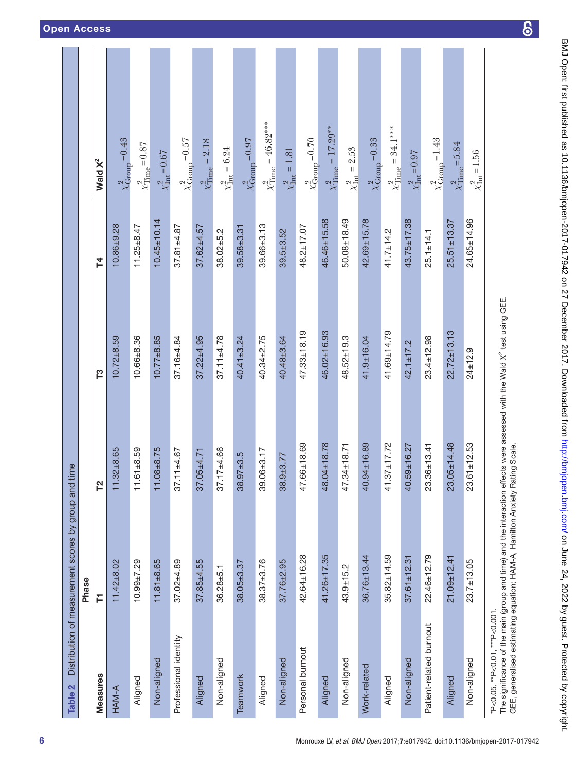<span id="page-5-0"></span>

| Table 2                       | Distribution of measurement scores by group and time                                                                                                                                                                |                   |                   |                   |                                      |
|-------------------------------|---------------------------------------------------------------------------------------------------------------------------------------------------------------------------------------------------------------------|-------------------|-------------------|-------------------|--------------------------------------|
|                               | Phase                                                                                                                                                                                                               |                   |                   |                   |                                      |
| <b>Measures</b>               | Ē                                                                                                                                                                                                                   | <b>P2</b>         | T3                | 74                | Wald $X^2$                           |
| HAM-A                         | $11.42 + 8.02$                                                                                                                                                                                                      | $11.32 + 8.65$    | $10.72 + 8.59$    | $10.86 + 9.28$    | $\chi^2_{\text{Group}} = 0.43$       |
| Aligned                       | $10.99 + 7.29$                                                                                                                                                                                                      | $11.61 + 8.59$    | $10.66 + 8.36$    | $11.25 + 8.47$    | $\chi^2_{\text{Time}} = 0.87$        |
| Non-aligned                   | $11.81 + 8.65$                                                                                                                                                                                                      | $11.08 + 8.75$    | $10.77 + 8.85$    | $10.45 \pm 10.14$ | $\chi^2_{\text{Int}} = 0.67$         |
| Professional identity         | $37.02 + 4.89$                                                                                                                                                                                                      | $37.11 + 4.67$    | $37.16 + 4.84$    | $37.81 + 4.87$    | $\chi^2_{\rm Group}$ = 0.57          |
| Aligned                       | $37.85 + 4.55$                                                                                                                                                                                                      | $37.05 + 4.71$    | $37.22 + 4.95$    | $37.62 + 4.57$    | $\chi^{2}_{\text{Time}} = 2.18$      |
| Non-aligned                   | $36.28 + 5.1$                                                                                                                                                                                                       | $37.17 + 4.66$    | $37.11 + 4.78$    | $38.02 + 5.2$     | $\chi^{2}_{\rm Int} = 6.24$          |
| Teamwork                      | $38.05 + 3.37$                                                                                                                                                                                                      | $38.97 + 3.5$     | $40.41 \pm 3.24$  | $39.58 + 3.31$    | $\chi^2_{\rm Group}$ = 0.97          |
| Aligned                       | $38.37 + 3.76$                                                                                                                                                                                                      | $39.06 + 3.17$    | 40.34±2.75        | $39.66 \pm 3.13$  | $\chi^2_{\rm Time} = 46.82^{***}$    |
| Non-aligned                   | $37.76 + 2.95$                                                                                                                                                                                                      | $38.9 + 3.77$     | 40.48±3.64        | $39.5 + 3.52$     | $\chi^{2}_{\text{Int}} = 1.81$       |
| Personal burnout              | 42.64±16.28                                                                                                                                                                                                         | 47.66±18.69       | $47.33 \pm 18.19$ | $48.2 \pm 17.07$  | $\chi^2_{\rm Group}$ = 0.70          |
| Aligned                       | $41.26 + 17.35$                                                                                                                                                                                                     | 48.04±18.78       | 46.02±16.93       | 46.46±15.58       | $\chi^2_{\text{Time}} = 17.29^{**}$  |
| Non-aligned                   | $43.9 + 15.2$                                                                                                                                                                                                       | 47.34±18.71       | $48.52 \pm 19.3$  | $50.08 + 18.49$   | $\chi^2_{\rm Int} = 2.53$            |
| Work-related                  | $36.76 \pm 13.44$                                                                                                                                                                                                   | 40.94±16.89       | 41.9±16.04        | $42.69 + 15.78$   | $\chi^2_{\rm Group}$ = 0.33          |
| Aligned                       | $35.82 \pm 14.59$                                                                                                                                                                                                   | $41.37 \pm 17.72$ | 41.69±14.79       | $41.7 \pm 14.2$   | $\chi^2_{\rm Time} = 34.1^{***}$     |
| Non-aligned                   | $37.61 \pm 12.31$                                                                                                                                                                                                   | 40.59±16.27       | $42.1 + 17.2$     | $43.75 \pm 17.38$ | $\chi^2_{\rm Int}\!=\!0.97$          |
| Patient-related burnout       | $22.46 \pm 12.79$                                                                                                                                                                                                   | $23.36 \pm 13.41$ | $23.4 \pm 12.98$  | $25.1 \pm 14.1$   | $\frac{\chi^2_{\text{Group}}}{1.43}$ |
| Aligned                       | $21.09 + 12.41$                                                                                                                                                                                                     | $23.05 \pm 14.48$ | $22.72 \pm 13.13$ | $25.51 \pm 13.37$ | $\chi^2_{\text{Time}} = 5.84$        |
| Non-aligned                   | $23.7 + 13.05$                                                                                                                                                                                                      | $23.61 \pm 12.53$ | $24 \pm 12.9$     | $24.65 \pm 14.96$ | $\chi^{2}_{\text{Int}} = 1.56$       |
| *P<0.05, **P<0.01, ***P<0.001 | The significance of the main (group and time) and the interaction effects were assessed with the Wald X <sup>2</sup> test using GEE.<br>GEE, generalised estimating equation; HAM-A, Hamilton Anxiety Rating Scale. |                   |                   |                   |                                      |

 $\overline{6}$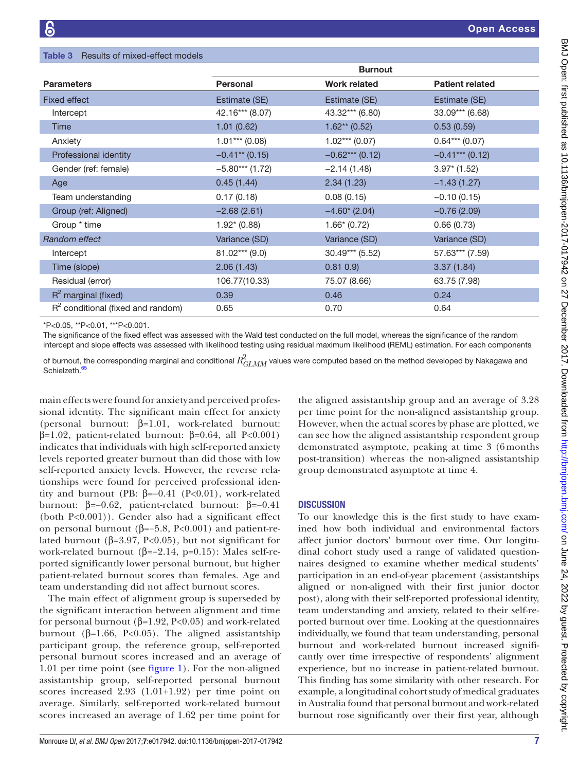<span id="page-6-0"></span>

| <b>Table 3</b> Results of mixed-effect models |                   |                     |                        |  |  |  |
|-----------------------------------------------|-------------------|---------------------|------------------------|--|--|--|
|                                               | <b>Burnout</b>    |                     |                        |  |  |  |
| <b>Parameters</b>                             | Personal          | <b>Work related</b> | <b>Patient related</b> |  |  |  |
| <b>Fixed effect</b>                           | Estimate (SE)     | Estimate (SE)       | Estimate (SE)          |  |  |  |
| Intercept                                     | 42.16*** (8.07)   | 43.32*** (6.80)     | $33.09***$ (6.68)      |  |  |  |
| <b>Time</b>                                   | 1.01(0.62)        | $1.62**$ (0.52)     | 0.53(0.59)             |  |  |  |
| Anxiety                                       | $1.01***$ (0.08)  | $1.02***(0.07)$     | $0.64***$ (0.07)       |  |  |  |
| Professional identity                         | $-0.41**$ (0.15)  | $-0.62***$ (0.12)   | $-0.41***$ (0.12)      |  |  |  |
| Gender (ref: female)                          | $-5.80***$ (1.72) | $-2.14(1.48)$       | $3.97^*$ (1.52)        |  |  |  |
| Age                                           | 0.45(1.44)        | 2.34(1.23)          | $-1.43(1.27)$          |  |  |  |
| Team understanding                            | 0.17(0.18)        | 0.08(0.15)          | $-0.10(0.15)$          |  |  |  |
| Group (ref: Aligned)                          | $-2.68(2.61)$     | $-4.60*(2.04)$      | $-0.76(2.09)$          |  |  |  |
| Group * time                                  | $1.92*(0.88)$     | $1.66*(0.72)$       | 0.66(0.73)             |  |  |  |
| Random effect                                 | Variance (SD)     | Variance (SD)       | Variance (SD)          |  |  |  |
| Intercept                                     | $81.02***$ (9.0)  | $30.49***$ (5.52)   | 57.63*** (7.59)        |  |  |  |
| Time (slope)                                  | 2.06(1.43)        | 0.81 0.9            | 3.37(1.84)             |  |  |  |
| Residual (error)                              | 106.77(10.33)     | 75.07 (8.66)        | 63.75 (7.98)           |  |  |  |
| $R^2$ marginal (fixed)                        | 0.39              | 0.46                | 0.24                   |  |  |  |
| $R2$ conditional (fixed and random)           | 0.65              | 0.70                | 0.64                   |  |  |  |

\*P<0.05, \*\*P<0.01, \*\*\*P<0.001.

The significance of the fixed effect was assessed with the Wald test conducted on the full model, whereas the significance of the random intercept and slope effects was assessed with likelihood testing using residual maximum likelihood (REML) estimation. For each components

of burnout, the corresponding marginal and conditional  $R_{GLMM}^2$  values were computed based on the method developed by Nakagawa and Schielzeth.<sup>[65](#page-10-35)</sup>

main effects were found for anxiety and perceived professional identity. The significant main effect for anxiety (personal burnout: β=1.01, work-related burnout: β=1.02, patient-related burnout: β=0.64, all P<0.001) indicates that individuals with high self-reported anxiety levels reported greater burnout than did those with low self-reported anxiety levels. However, the reverse relationships were found for perceived professional identity and burnout (PB:  $β=-0.41$  (P<0.01), work-related burnout: β=−0.62, patient-related burnout: β=−0.41 (both P<0.001)). Gender also had a significant effect on personal burnout ( $β=-5.8$ , P<0.001) and patient-related burnout ( $β=3.97$ , P<0.05), but not significant for work-related burnout ( $\beta$ =−2.14, p=0.15): Males self-reported significantly lower personal burnout, but higher patient-related burnout scores than females. Age and team understanding did not affect burnout scores.

The main effect of alignment group is superseded by the significant interaction between alignment and time for personal burnout (β=1.92, P<0.05) and work-related burnout (β=1.66, P<0.05). The aligned assistantship participant group, the reference group, self-reported personal burnout scores increased and an average of 1.01 per time point (see [figure](#page-7-0) 1). For the non-aligned assistantship group, self-reported personal burnout scores increased 2.93 (1.01+1.92) per time point on average. Similarly, self-reported work-related burnout scores increased an average of 1.62 per time point for

the aligned assistantship group and an average of 3.28 per time point for the non-aligned assistantship group. However, when the actual scores by phase are plotted, we can see how the aligned assistantship respondent group demonstrated asymptote, peaking at time 3 (6 months post-transition) whereas the non-aligned assistantship group demonstrated asymptote at time 4.

#### **DISCUSSION**

To our knowledge this is the first study to have examined how both individual and environmental factors affect junior doctors' burnout over time. Our longitudinal cohort study used a range of validated questionnaires designed to examine whether medical students' participation in an end-of-year placement (assistantships aligned or non-aligned with their first junior doctor post), along with their self-reported professional identity, team understanding and anxiety, related to their self-reported burnout over time. Looking at the questionnaires individually, we found that team understanding, personal burnout and work-related burnout increased significantly over time irrespective of respondents' alignment experience, but no increase in patient-related burnout. This finding has some similarity with other research. For example, a longitudinal cohort study of medical graduates in Australia found that personal burnout and work-related burnout rose significantly over their first year, although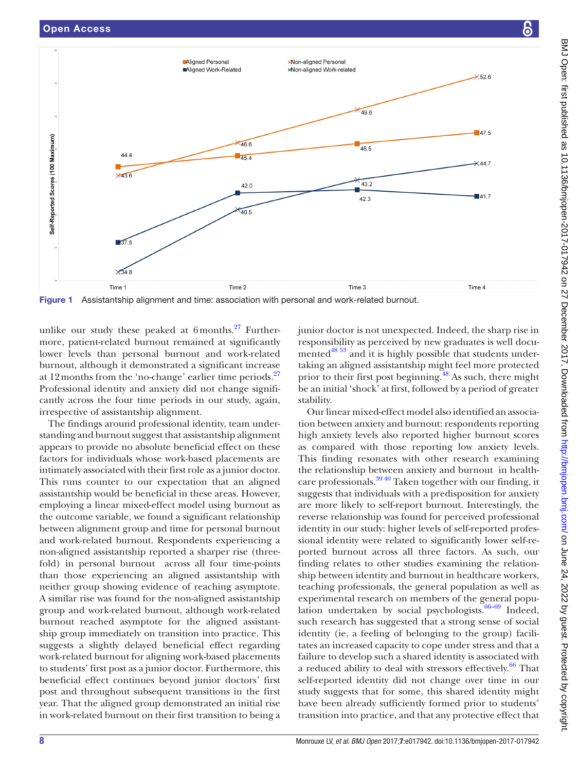

<span id="page-7-0"></span>Figure 1 Assistantship alignment and time: association with personal and work-related burnout.

unlike our study these peaked at  $6$ months.<sup>27</sup> Furthermore, patient-related burnout remained at significantly lower levels than personal burnout and work-related burnout, although it demonstrated a significant increase at 12 months from the 'no-change' earlier time periods. $27$ Professional identity and anxiety did not change significantly across the four time periods in our study, again, irrespective of assistantship alignment.

The findings around professional identity, team understanding and burnout suggest that assistantship alignment appears to provide no absolute beneficial effect on these factors for individuals whose work-based placements are intimately associated with their first role as a junior doctor. This runs counter to our expectation that an aligned assistantship would be beneficial in these areas. However, employing a linear mixed-effect model using burnout as the outcome variable, we found a significant relationship between alignment group and time for personal burnout and work-related burnout. Respondents experiencing a non-aligned assistantship reported a sharper rise (threefold) in personal burnout across all four time-points than those experiencing an aligned assistantship with neither group showing evidence of reaching asymptote. A similar rise was found for the non-aligned assistantship group and work-related burnout, although work-related burnout reached asymptote for the aligned assistantship group immediately on transition into practice. This suggests a slightly delayed beneficial effect regarding work-related burnout for aligning work-based placements to students' first post as a junior doctor. Furthermore, this beneficial effect continues beyond junior doctors' first post and throughout subsequent transitions in the first year. That the aligned group demonstrated an initial rise in work-related burnout on their first transition to being a

junior doctor is not unexpected. Indeed, the sharp rise in responsibility as perceived by new graduates is well documented<sup>48 53</sup> and it is highly possible that students undertaking an aligned assistantship might feel more protected prior to their first post beginning.<sup>48</sup> As such, there might be an initial 'shock' at first, followed by a period of greater stability.

Our linear mixed-effect model also identified an association between anxiety and burnout: respondents reporting high anxiety levels also reported higher burnout scores as compared with those reporting low anxiety levels. This finding resonates with other research examining the relationship between anxiety and burnout in healthcare professionals. $39\frac{40}{3}$  Taken together with our finding, it suggests that individuals with a predisposition for anxiety are more likely to self-report burnout. Interestingly, the reverse relationship was found for perceived professional identity in our study: higher levels of self-reported professional identity were related to significantly lower self-reported burnout across all three factors. As such, our finding relates to other studies examining the relationship between identity and burnout in healthcare workers, teaching professionals, the general population as well as experimental research on members of the general population undertaken by social psychologists. $66-69$  Indeed, such research has suggested that a strong sense of social identity (ie, a feeling of belonging to the group) facilitates an increased capacity to cope under stress and that a failure to develop such a shared identity is associated with a reduced ability to deal with stressors effectively. $66$  That self-reported identity did not change over time in our study suggests that for some, this shared identity might have been already sufficiently formed prior to students' transition into practice, and that any protective effect that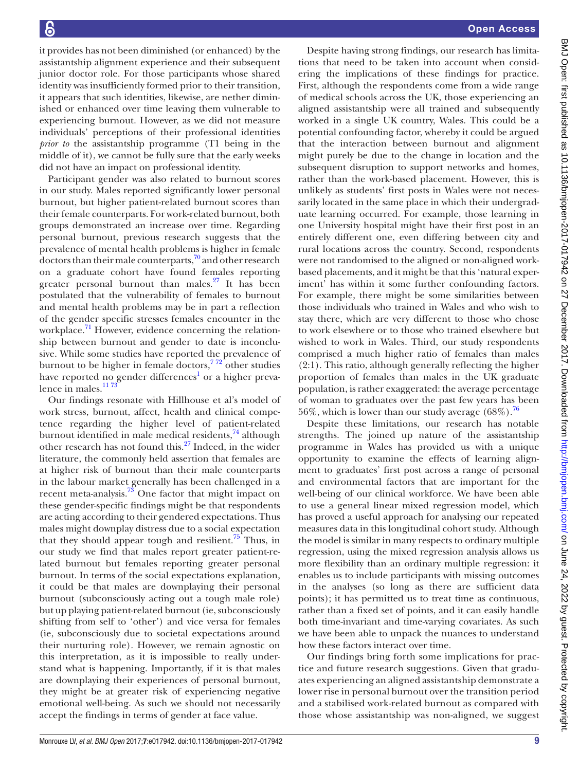it provides has not been diminished (or enhanced) by the assistantship alignment experience and their subsequent junior doctor role. For those participants whose shared identity was insufficiently formed prior to their transition, it appears that such identities, likewise, are nether diminished or enhanced over time leaving them vulnerable to experiencing burnout. However, as we did not measure individuals' perceptions of their professional identities *prior to* the assistantship programme (T1 being in the middle of it), we cannot be fully sure that the early weeks did not have an impact on professional identity.

Participant gender was also related to burnout scores in our study. Males reported significantly lower personal burnout, but higher patient-related burnout scores than their female counterparts. For work-related burnout, both groups demonstrated an increase over time. Regarding personal burnout, previous research suggests that the prevalence of mental health problems is higher in female doctors than their male counterparts, $\frac{70}{2}$  $\frac{70}{2}$  $\frac{70}{2}$  and other research on a graduate cohort have found females reporting greater personal burnout than males. $27$  It has been postulated that the vulnerability of females to burnout and mental health problems may be in part a reflection of the gender specific stresses females encounter in the workplace. $\frac{71}{1}$  $\frac{71}{1}$  $\frac{71}{1}$  However, evidence concerning the relationship between burnout and gender to date is inconclusive. While some studies have reported the prevalence of burnout to be higher in female doctors,  $7\frac{72}{2}$  other studies have reported no gender differences<sup>[1](#page-9-0)</sup> or a higher prevalence in males.<sup>1173</sup>

Our findings resonate with Hillhouse et al's model of work stress, burnout, affect, health and clinical competence regarding the higher level of patient-related burnout identified in male medical residents, $^{74}$  although other research has not found this.<sup>[27](#page-10-6)</sup> Indeed, in the wider literature, the commonly held assertion that females are at higher risk of burnout than their male counterparts in the labour market generally has been challenged in a recent meta-analysis[.73](#page-11-3) One factor that might impact on these gender-specific findings might be that respondents are acting according to their gendered expectations. Thus males might downplay distress due to a social expectation that they should appear tough and resilient.<sup>75</sup> Thus, in our study we find that males report greater patient-related burnout but females reporting greater personal burnout. In terms of the social expectations explanation, it could be that males are downplaying their personal burnout (subconsciously acting out a tough male role) but up playing patient-related burnout (ie, subconsciously shifting from self to 'other') and vice versa for females (ie, subconsciously due to societal expectations around their nurturing role). However, we remain agnostic on this interpretation, as it is impossible to really understand what is happening. Importantly, if it is that males are downplaying their experiences of personal burnout, they might be at greater risk of experiencing negative emotional well-being. As such we should not necessarily accept the findings in terms of gender at face value.

Despite having strong findings, our research has limitations that need to be taken into account when considering the implications of these findings for practice. First, although the respondents come from a wide range of medical schools across the UK, those experiencing an aligned assistantship were all trained and subsequently worked in a single UK country, Wales. This could be a potential confounding factor, whereby it could be argued that the interaction between burnout and alignment might purely be due to the change in location and the subsequent disruption to support networks and homes, rather than the work-based placement. However, this is unlikely as students' first posts in Wales were not necessarily located in the same place in which their undergraduate learning occurred. For example, those learning in one University hospital might have their first post in an entirely different one, even differing between city and rural locations across the country. Second, respondents were not randomised to the aligned or non-aligned workbased placements, and it might be that this 'natural experiment' has within it some further confounding factors. For example, there might be some similarities between those individuals who trained in Wales and who wish to stay there, which are very different to those who chose to work elsewhere or to those who trained elsewhere but wished to work in Wales. Third, our study respondents comprised a much higher ratio of females than males (2:1). This ratio, although generally reflecting the higher proportion of females than males in the UK graduate population, is rather exaggerated: the average percentage of woman to graduates over the past few years has been 56%, which is lower than our study average  $(68\%)$ .<sup>76</sup>

Despite these limitations, our research has notable strengths. The joined up nature of the assistantship programme in Wales has provided us with a unique opportunity to examine the effects of learning alignment to graduates' first post across a range of personal and environmental factors that are important for the well-being of our clinical workforce. We have been able to use a general linear mixed regression model, which has proved a useful approach for analysing our repeated measures data in this longitudinal cohort study. Although the model is similar in many respects to ordinary multiple regression, using the mixed regression analysis allows us more flexibility than an ordinary multiple regression: it enables us to include participants with missing outcomes in the analyses (so long as there are sufficient data points); it has permitted us to treat time as continuous, rather than a fixed set of points, and it can easily handle both time-invariant and time-varying covariates. As such we have been able to unpack the nuances to understand how these factors interact over time.

Our findings bring forth some implications for practice and future research suggestions. Given that graduates experiencing an aligned assistantship demonstrate a lower rise in personal burnout over the transition period and a stabilised work-related burnout as compared with those whose assistantship was non-aligned, we suggest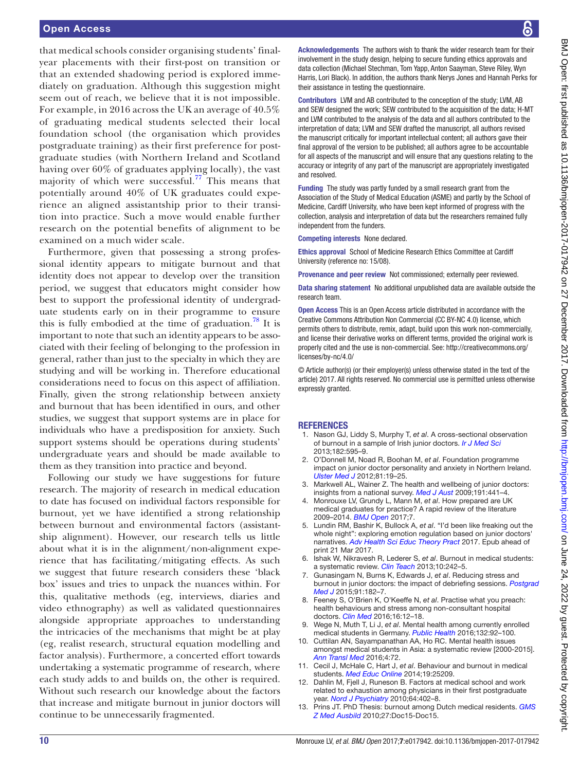#### Open Access

that medical schools consider organising students' finalyear placements with their first-post on transition or that an extended shadowing period is explored immediately on graduation. Although this suggestion might seem out of reach, we believe that it is not impossible. For example, in 2016 across the UK an average of 40.5% of graduating medical students selected their local foundation school (the organisation which provides postgraduate training) as their first preference for postgraduate studies (with Northern Ireland and Scotland having over 60% of graduates applying locally), the vast majority of which were successful.<sup>77</sup> This means that potentially around 40% of UK graduates could experience an aligned assistantship prior to their transition into practice. Such a move would enable further research on the potential benefits of alignment to be examined on a much wider scale.

Furthermore, given that possessing a strong professional identity appears to mitigate burnout and that identity does not appear to develop over the transition period, we suggest that educators might consider how best to support the professional identity of undergraduate students early on in their programme to ensure this is fully embodied at the time of graduation.<sup>78</sup> It is important to note that such an identity appears to be associated with their feeling of belonging to the profession in general, rather than just to the specialty in which they are studying and will be working in. Therefore educational considerations need to focus on this aspect of affiliation. Finally, given the strong relationship between anxiety and burnout that has been identified in ours, and other studies, we suggest that support systems are in place for individuals who have a predisposition for anxiety. Such support systems should be operations during students' undergraduate years and should be made available to them as they transition into practice and beyond.

Following our study we have suggestions for future research. The majority of research in medical education to date has focused on individual factors responsible for burnout, yet we have identified a strong relationship between burnout and environmental factors (assistantship alignment). However, our research tells us little about what it is in the alignment/non-alignment experience that has facilitating/mitigating effects. As such we suggest that future research considers these 'black box' issues and tries to unpack the nuances within. For this, qualitative methods (eg, interviews, diaries and video ethnography) as well as validated questionnaires alongside appropriate approaches to understanding the intricacies of the mechanisms that might be at play (eg, realist research, structural equation modelling and factor analysis). Furthermore, a concerted effort towards undertaking a systematic programme of research, where each study adds to and builds on, the other is required. Without such research our knowledge about the factors that increase and mitigate burnout in junior doctors will continue to be unnecessarily fragmented.

Acknowledgements The authors wish to thank the wider research team for their involvement in the study design, helping to secure funding ethics approvals and data collection (Michael Stechman, Tom Yapp, Anton Saayman, Steve Riley, Wyn Harris, Lori Black). In addition, the authors thank Nerys Jones and Hannah Perks for their assistance in testing the questionnaire.

Contributors LVM and AB contributed to the conception of the study; LVM, AB and SEW designed the work; SEW contributed to the acquisition of the data; H-MT and LVM contributed to the analysis of the data and all authors contributed to the interpretation of data; LVM and SEW drafted the manuscript, all authors revised the manuscript critically for important intellectual content; all authors gave their final approval of the version to be published; all authors agree to be accountable for all aspects of the manuscript and will ensure that any questions relating to the accuracy or integrity of any part of the manuscript are appropriately investigated and resolved.

Funding The study was partly funded by a small research grant from the Association of the Study of Medical Education (ASME) and partly by the School of Medicine, Cardiff University, who have been kept informed of progress with the collection, analysis and interpretation of data but the researchers remained fully independent from the funders.

Competing interests None declared.

Ethics approval School of Medicine Research Ethics Committee at Cardiff University (reference no: 15/08).

Provenance and peer review Not commissioned; externally peer reviewed.

Data sharing statement No additional unpublished data are available outside the research team.

Open Access This is an Open Access article distributed in accordance with the Creative Commons Attribution Non Commercial (CC BY-NC 4.0) license, which permits others to distribute, remix, adapt, build upon this work non-commercially, and license their derivative works on different terms, provided the original work is properly cited and the use is non-commercial. See: [http://creativecommons.org/](http://creativecommons.org/licenses/by-nc/4.0/) [licenses/by-nc/4.0/](http://creativecommons.org/licenses/by-nc/4.0/)

© Article author(s) (or their employer(s) unless otherwise stated in the text of the article) 2017. All rights reserved. No commercial use is permitted unless otherwise expressly granted.

#### **REFERENCES**

- <span id="page-9-0"></span>1. Nason GJ, Liddy S, Murphy T, *et al*. A cross-sectional observation of burnout in a sample of Irish junior doctors. *[Ir J Med Sci](http://dx.doi.org/10.1007/s11845-013-0933-y)* 2013;182:595–9.
- 2. O'Donnell M, Noad R, Boohan M, *et al*. Foundation programme impact on junior doctor personality and anxiety in Northern Ireland. *Ulster Med J* 2012;81:19–25.
- <span id="page-9-3"></span>3. Markwell AL, Wainer Z. The health and wellbeing of junior doctors: insights from a national survey. *Med J Aust* 2009;191:441–4.
- 4. Monrouxe LV, Grundy L, Mann M, *et al*. How prepared are UK medical graduates for practice? A rapid review of the literature 2009–2014. *BMJ Open* 2017;7.
- 5. Lundin RM, Bashir K, Bullock A, *et al*. "I'd been like freaking out the whole night": exploring emotion regulation based on junior doctors' narratives. *[Adv Health Sci Educ Theory Pract](http://dx.doi.org/10.1007/s10459-017-9769-y)* 2017. Epub ahead of print 21 Mar 2017.
- <span id="page-9-1"></span>6. Ishak W, Nikravesh R, Lederer S, *et al*. Burnout in medical students: a systematic review. *[Clin Teach](http://dx.doi.org/10.1111/tct.12014)* 2013;10:242–5.
- <span id="page-9-5"></span>7. Gunasingam N, Burns K, Edwards J, *et al*. Reducing stress and burnout in junior doctors: the impact of debriefing sessions. *[Postgrad](http://dx.doi.org/10.1136/postgradmedj-2014-132847)  [Med J](http://dx.doi.org/10.1136/postgradmedj-2014-132847)* 2015;91:182–7.
- <span id="page-9-2"></span>8. Feeney S, O'Brien K, O'Keeffe N, *et al*. Practise what you preach: health behaviours and stress among non-consultant hospital doctors. *[Clin Med](http://dx.doi.org/10.7861/clinmedicine.16-1-12)* 2016;16:12–18.
- Wege N, Muth T, Li J, et al. Mental health among currently enrolled medical students in Germany. *[Public Health](http://dx.doi.org/10.1016/j.puhe.2015.12.014)* 2016;132:92–100.
- 10. Cuttilan AN, Sayampanathan AA, Ho RC. Mental health issues amongst medical students in Asia: a systematic review [2000-2015]. *[Ann Transl Med](http://dx.doi.org/10.3978/j.issn.2305-5839.2016.02.07)* 2016;4:72.
- <span id="page-9-4"></span>11. Cecil J, McHale C, Hart J, *et al*. Behaviour and burnout in medical students. *[Med Educ Online](http://dx.doi.org/10.3402/meo.v19.25209)* 2014;19:25209.
- 12. Dahlin M, Fjell J, Runeson B. Factors at medical school and work related to exhaustion among physicians in their first postgraduate year. *[Nord J Psychiatry](http://dx.doi.org/10.3109/08039481003759219)* 2010;64:402–8.
- 13. Prins JT. PhD Thesis: burnout among Dutch medical residents. *[GMS](http://dx.doi.org/10.3205/zma000652)  [Z Med Ausbild](http://dx.doi.org/10.3205/zma000652)* 2010;27:Doc15-Doc15.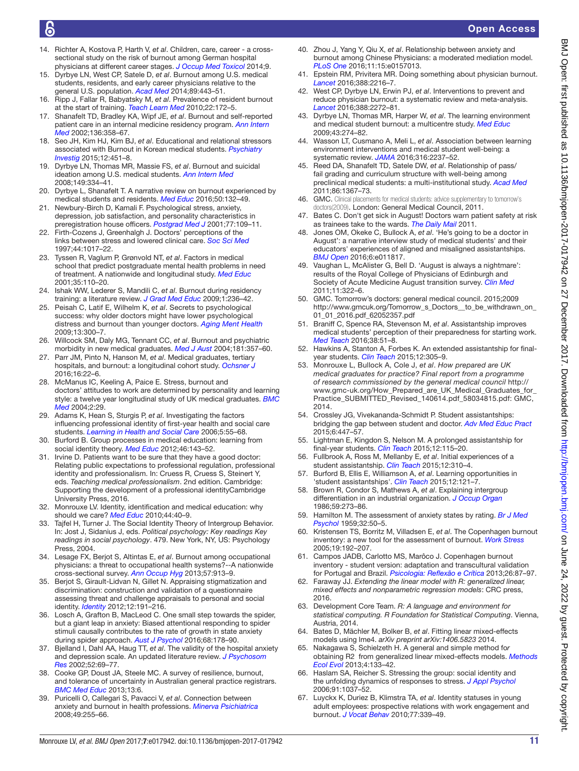- 14. Richter A, Kostova P, Harth V, *et al*. Children, care, career a crosssectional study on the risk of burnout among German hospital physicians at different career stages. *[J Occup Med Toxicol](http://dx.doi.org/10.1186/s12995-014-0041-6)* 2014;9.
- <span id="page-10-0"></span>15. Dyrbye LN, West CP, Satele D, *et al*. Burnout among U.S. medical students, residents, and early career physicians relative to the general U.S. population. *[Acad Med](http://dx.doi.org/10.1097/ACM.0000000000000134)* 2014;89:443–51.
- 16. Ripp J, Fallar R, Babyatsky M, *et al*. Prevalence of resident burnout at the start of training. *[Teach Learn Med](http://dx.doi.org/10.1080/10401334.2010.488194)* 2010;22:172–5.
- <span id="page-10-2"></span>17. Shanafelt TD, Bradley KA, Wipf JE, *et al*. Burnout and self-reported patient care in an internal medicine residency program. *[Ann Intern](http://dx.doi.org/10.7326/0003-4819-136-5-200203050-00008)  [Med](http://dx.doi.org/10.7326/0003-4819-136-5-200203050-00008)* 2002;136:358–67.
- <span id="page-10-1"></span>18. Seo JH, Kim HJ, Kim BJ, *et al*. Educational and relational stressors associated with Burnout in Korean medical students. *[Psychiatry](http://dx.doi.org/10.4306/pi.2015.12.4.451)  [Investig](http://dx.doi.org/10.4306/pi.2015.12.4.451)* 2015;12:451–8.
- 19. Dyrbye LN, Thomas MR, Massie FS, *et al*. Burnout and suicidal ideation among U.S. medical students. *[Ann Intern Med](http://dx.doi.org/10.7326/0003-4819-149-5-200809020-00008)* 2008;149:334–41.
- 20. Dyrbye L, Shanafelt T. A narrative review on burnout experienced by medical students and residents. *[Med Educ](http://dx.doi.org/10.1111/medu.12927)* 2016;50:132–49.
- 21. Newbury-Birch D, Kamali F. Psychological stress, anxiety, depression, job satisfaction, and personality characteristics in preregistration house officers. *[Postgrad Med J](http://dx.doi.org/10.1136/pmj.77.904.109)* 2001;77:109–11.
- 22. Firth-Cozens J, Greenhalgh J. Doctors' perceptions of the links between stress and lowered clinical care. *[Soc Sci Med](http://dx.doi.org/10.1016/S0277-9536(96)00227-4)* 1997;44:1017–22.
- <span id="page-10-3"></span>23. Tyssen R, Vaglum P, Grønvold NT, *et al*. Factors in medical school that predict postgraduate mental health problems in need of treatment. A nationwide and longitudinal study. *[Med Educ](http://dx.doi.org/10.1046/j.1365-2923.2001.00770.x)* 2001;35:110–20.
- <span id="page-10-4"></span>24. Ishak WW, Lederer S, Mandili C, *et al*. Burnout during residency training: a literature review. *[J Grad Med Educ](http://dx.doi.org/10.4300/JGME-D-09-00054.1)* 2009;1:236–42.
- 25. Peisah C, Latif E, Wilhelm K, *et al*. Secrets to psychological success: why older doctors might have lower psychological distress and burnout than younger doctors. *[Aging Ment Health](http://dx.doi.org/10.1080/13607860802459831)* 2009;13:300–7.
- <span id="page-10-5"></span>26. Willcock SM, Daly MG, Tennant CC, *et al*. Burnout and psychiatric morbidity in new medical graduates. *Med J Aust* 2004;181:357–60.
- <span id="page-10-6"></span>27. Parr JM, Pinto N, Hanson M, *et al*. Medical graduates, tertiary hospitals, and burnout: a longitudinal cohort study. *Ochsner J* 2016;16:22–6.
- <span id="page-10-7"></span>28. McManus IC, Keeling A, Paice E. Stress, burnout and doctors' attitudes to work are determined by personality and learning style: a twelve year longitudinal study of UK medical graduates. *[BMC](http://dx.doi.org/10.1186/1741-7015-2-29)  [Med](http://dx.doi.org/10.1186/1741-7015-2-29)* 2004;2:29.
- <span id="page-10-8"></span>29. Adams K, Hean S, Sturgis P, *et al*. Investigating the factors influencing professional identity of first-year health and social care students. *[Learning in Health and Social Care](http://dx.doi.org/10.1111/j.1473-6861.2006.00119.x)* 2006;5:55–68.
- <span id="page-10-9"></span>30. Burford B. Group processes in medical education: learning from social identity theory. *[Med Educ](http://dx.doi.org/10.1111/j.1365-2923.2011.04099.x)* 2012;46:143–52.
- 31. Irvine D. Patients want to be sure that they have a good doctor: Relating public expectations to professional regulation, professional identity and professionalism. In: Cruess R, Cruess S, Steinert Y, eds. *Teaching medical professionalism*. 2nd edition. Cambridge: Supporting the development of a professional identityCambridge University Press, 2016.
- 32. Monrouxe LV. Identity, identification and medical education: why should we care? *[Med Educ](http://dx.doi.org/10.1111/j.1365-2923.2009.03440.x)* 2010;44:40–9.
- 33. Tajfel H, Turner J. The Social Identity Theory of Intergroup Behavior. In: Jost J, Sidanius J, eds. *Political psychology: Key readings Key readings in social psychology*. 479. New York, NY, US: Psychology Press, 2004.
- <span id="page-10-10"></span>34. Lesage FX, Berjot S, Altintas E, *et al*. Burnout among occupational physicians: a threat to occupational health systems?--A nationwide cross-sectional survey. *[Ann Occup Hyg](http://dx.doi.org/10.1093/annhyg/met013)* 2013;57:913–9.
- <span id="page-10-11"></span>35. Berjot S, Girault-Lidvan N, Gillet N. Appraising stigmatization and discrimination: construction and validation of a questionnaire assessing threat and challenge appraisals to personal and social identity. *[Identity](http://dx.doi.org/10.1080/15283488.2012.691254)* 2012;12:191–216.
- <span id="page-10-12"></span>36. Losch A, Grafton B, MacLeod C. One small step towards the spider, but a giant leap in anxiety: Biased attentional responding to spider stimuli causally contributes to the rate of growth in state anxiety during spider approach. *[Aust J Psychol](http://dx.doi.org/10.1111/ajpy.12140)* 2016;68:178–90.
- <span id="page-10-13"></span>37. Bjelland I, Dahl AA, Haug TT, *et al*. The validity of the hospital anxiety and depression scale. An updated literature review. *J Psychosom Res* 2002;52:69–77.
- <span id="page-10-14"></span>38. Cooke GP, Doust JA, Steele MC. A survey of resilience, burnout, and tolerance of uncertainty in Australian general practice registrars. *[BMC Med Educ](http://dx.doi.org/10.1186/1472-6920-13-2)* 2013;13:6.
- <span id="page-10-36"></span>39. Puricelli O, Callegari S, Pavacci V, *et al*. Connection between anxiety and burnout in health professions. *Minerva Psichiatrica* 2008;49:255–66.
- 40. Zhou J, Yang Y, Qiu X, *et al*. Relationship between anxiety and burnout among Chinese Physicians: a moderated mediation model. *[PLoS One](http://dx.doi.org/10.1371/journal.pone.0157013)* 2016;11:15:e0157013.
- <span id="page-10-15"></span>41. Epstein RM, Privitera MR. Doing something about physician burnout. *[Lancet](http://dx.doi.org/10.1016/S0140-6736(16)31332-0)* 2016;388:2216–7.
- <span id="page-10-16"></span>42. West CP, Dyrbye LN, Erwin PJ, *et al*. Interventions to prevent and reduce physician burnout: a systematic review and meta-analysis. *[Lancet](http://dx.doi.org/10.1016/S0140-6736(16)31279-X)* 2016;388:2272–81.
- <span id="page-10-17"></span>43. Dyrbye LN, Thomas MR, Harper W, *et al*. The learning environment and medical student burnout: a multicentre study. *[Med Educ](http://dx.doi.org/10.1111/j.1365-2923.2008.03282.x)* 2009;43:274–82.
- <span id="page-10-18"></span>44. Wasson LT, Cusmano A, Meli L, *et al*. Association between learning environment interventions and medical student well-being: a systematic review. *[JAMA](http://dx.doi.org/10.1001/jama.2016.17573)* 2016;316:2237–52.
- <span id="page-10-19"></span>45. Reed DA, Shanafelt TD, Satele DW, *et al*. Relationship of pass/ fail grading and curriculum structure with well-being among preclinical medical students: a multi-institutional study. *[Acad Med](http://dx.doi.org/10.1097/ACM.0b013e3182305d81)* 2011;86:1367–73.
- <span id="page-10-20"></span>46. GMC. Clinical placements for medical students: advice supplementary to tomorrow's doctors(2009). London: General Medical Council, 2011.
- <span id="page-10-21"></span>47. Bates C. Don't get sick in August! Doctors warn patient safety at risk as trainees take to the wards. *The Daily Mail* 2011.
- <span id="page-10-25"></span>48. Jones OM, Okeke C, Bullock A, *et al*. 'He's going to be a doctor in August': a narrative interview study of medical students' and their educators' experiences of aligned and misaligned assistantships. *[BMJ Open](http://dx.doi.org/10.1136/bmjopen-2016-011817)* 2016;6:e011817.
- 49. Vaughan L, McAlister G, Bell D. 'August is always a nightmare': results of the Royal College of Physicians of Edinburgh and Society of Acute Medicine August transition survey. *[Clin Med](http://dx.doi.org/10.7861/clinmedicine.11-4-322)* 2011;11:322–6.
- <span id="page-10-22"></span>50. GMC. Tomorrow's doctors: general medical council. 2015;2009 [http://www.gmcuk.org/Tomorrow\\_s\\_Doctors\\_\\_to\\_be\\_withdrawn\\_on\\_](http://www.gmcuk.org/Tomorrow_s_Doctors__to_be_withdrawn_on_01_01_2016.pdf_62052357.pdf) [01\\_01\\_2016.pdf\\_62052357.pdf](http://www.gmcuk.org/Tomorrow_s_Doctors__to_be_withdrawn_on_01_01_2016.pdf_62052357.pdf)
- <span id="page-10-23"></span>51. Braniff C, Spence RA, Stevenson M, *et al*. Assistantship improves medical students' perception of their preparedness for starting work. *[Med Teach](http://dx.doi.org/10.3109/0142159X.2015.1045843)* 2016;38:51–8.
- <span id="page-10-28"></span>52. Hawkins A, Stanton A, Forbes K. An extended assistantship for finalyear students. *[Clin Teach](http://dx.doi.org/10.1111/tct.12351)* 2015;12:305–9.
- <span id="page-10-24"></span>53. Monrouxe L, Bullock A, Cole J, *et al*. *How prepared are UK medical graduates for practice? Final report from a programme of research commissioned by the general medical council* [http://](http://www.gmc-uk.org/How_Prepared_are_UK_Medical_Graduates_for_Practice_SUBMITTED_Revised_140614.pdf_58034815.pdf) [www.gmc-uk.org/How\\_Prepared\\_are\\_UK\\_Medical\\_Graduates\\_for\\_](http://www.gmc-uk.org/How_Prepared_are_UK_Medical_Graduates_for_Practice_SUBMITTED_Revised_140614.pdf_58034815.pdf) [Practice\\_SUBMITTED\\_Revised\\_140614.pdf\\_58034815.pdf:](http://www.gmc-uk.org/How_Prepared_are_UK_Medical_Graduates_for_Practice_SUBMITTED_Revised_140614.pdf_58034815.pdf) GMC, 2014.
- 54. Crossley JG, Vivekananda-Schmidt P. Student assistantships: bridging the gap between student and doctor. *[Adv Med Educ Pract](http://dx.doi.org/10.2147/AMEP.S62822)* 2015;6:447–57.
- <span id="page-10-26"></span>55. Lightman E, Kingdon S, Nelson M. A prolonged assistantship for final-year students. *[Clin Teach](http://dx.doi.org/10.1111/tct.12272)* 2015;12:115–20.
- <span id="page-10-27"></span>56. Fullbrook A, Ross M, Mellanby E, *et al*. Initial experiences of a student assistantship. *[Clin Teach](http://dx.doi.org/10.1111/tct.12355)* 2015;12:310–4.
- 57. Burford B, Ellis E, Williamson A, *et al*. Learning opportunities in 'student assistantships'. *[Clin Teach](http://dx.doi.org/10.1111/tct.12269)* 2015;12:121–7.
- 58. Brown R, Condor S, Mathews A, *et al*. Explaining intergroup differentiation in an industrial organization. *[J Occup Organ](http://dx.doi.org/10.1111/j.2044-8325.1986.tb00230.x)* 1986;59:273–86.
- <span id="page-10-29"></span>59. Hamilton M. The assessment of anxiety states by rating. *[Br J Med](http://dx.doi.org/10.1111/j.2044-8341.1959.tb00467.x)  [Psychol](http://dx.doi.org/10.1111/j.2044-8341.1959.tb00467.x)* 1959;32:50–5.
- <span id="page-10-30"></span>60. Kristensen TS, Borritz M, Villadsen E, *et al*. The Copenhagen burnout inventory: a new tool for the assessment of burnout. *[Work Stress](http://dx.doi.org/10.1080/02678370500297720)* 2005;19:192–207.
- <span id="page-10-31"></span>61. Campos JADB, Carlotto MS, Marôco J. Copenhagen burnout inventory - student version: adaptation and transcultural validation for Portugal and Brazil. *[Psicologia: Reflexão e Crítica](http://dx.doi.org/10.1590/S0102-79722013000100010)* 2013;26:87–97.
- <span id="page-10-32"></span>62. Faraway JJ. *Extending the linear model with R: generalized linear, mixed effects and nonparametric regression models*: CRC press, 2016.
- <span id="page-10-33"></span>63. Development Core Team. *R: A language and environment for statistical computing. R Foundation for Statistical Computing*. Vienna, Austria, 2014.
- <span id="page-10-34"></span>64. Bates D, Mächler M, Bolker B, *et al*. Fitting linear mixed-effects models using lme4. *arXiv preprint arXiv:1406.5823* 2014.
- <span id="page-10-35"></span>65. Nakagawa S, Schielzeth H. A general and simple method fo*r* obtaining R2 from generalized linea*r* mixed-effects models. *[Methods](http://dx.doi.org/10.1111/j.2041-210x.2012.00261.x)  [Ecol Evol](http://dx.doi.org/10.1111/j.2041-210x.2012.00261.x)* 2013;4:133–42.
- <span id="page-10-37"></span>66. Haslam SA, Reicher S. Stressing the group: social identity and the unfolding dynamics of responses to stress. *[J Appl Psychol](http://dx.doi.org/10.1037/0021-9010.91.5.1037)* 2006;91:1037–52.
- 67. Luyckx K, Duriez B, Klimstra TA, *et al*. Identity statuses in young adult employees: prospective relations with work engagement and burnout. *[J Vocat Behav](http://dx.doi.org/10.1016/j.jvb.2010.06.002)* 2010;77:339–49.